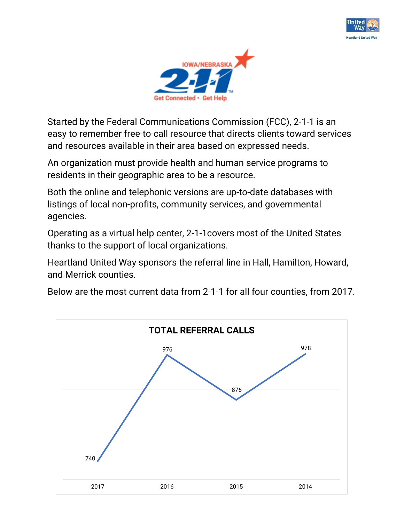



Started by the Federal Communications Commission (FCC), 2-1-1 is an easy to remember free-to-call resource that directs clients toward services and resources available in their area based on expressed needs.

An organization must provide health and human service programs to residents in their geographic area to be a resource.

Both the online and telephonic versions are up-to-date databases with listings of local non-profits, community services, and governmental agencies.

Operating as a virtual help center, 2-1-1covers most of the United States thanks to the support of local organizations.

Heartland United Way sponsors the referral line in Hall, Hamilton, Howard, and Merrick counties.

Below are the most current data from 2-1-1 for all four counties, from 2017.

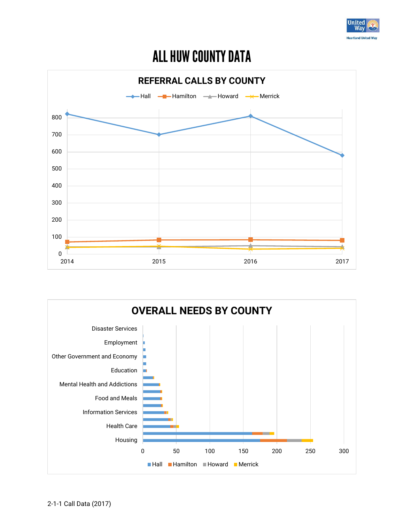

# ALL HUW COUNTY DATA



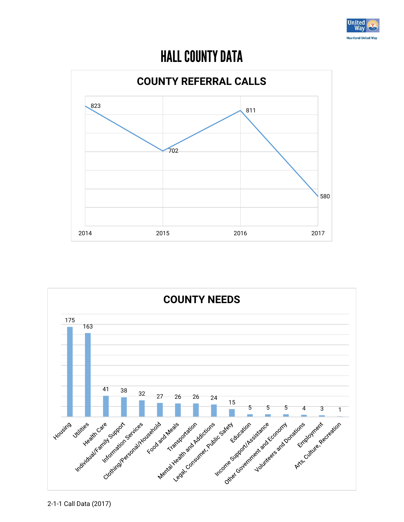

### HALL COUNTY DATA



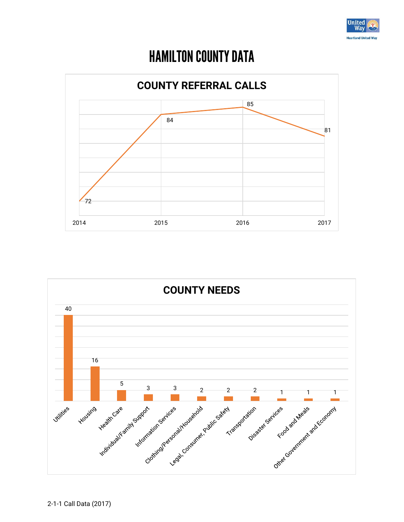

### HAMILTON COUNTY DATA



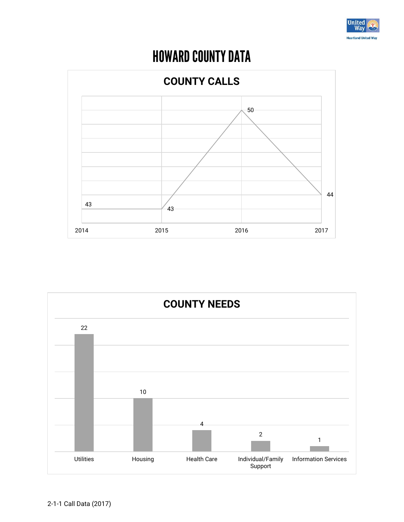

# HOWARD COUNTY DATA